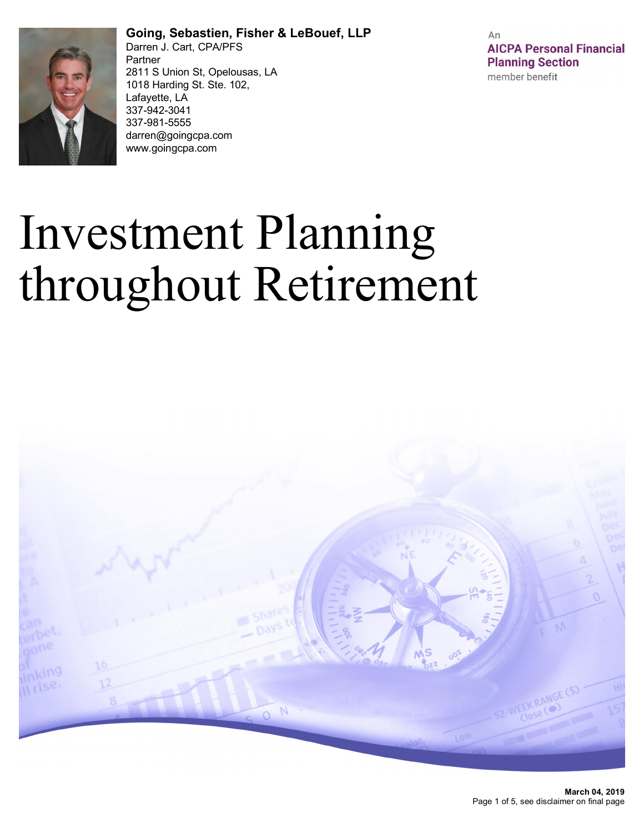

**Going, Sebastien, Fisher & LeBouef, LLP** Darren J. Cart, CPA/PFS Partner 2811 S Union St, Opelousas, LA 1018 Harding St. Ste. 102, Lafayette, LA 337-942-3041 337-981-5555 darren@goingcpa.com www.goingcpa.com

An **AICPA Personal Financial Planning Section** member benefit

# Investment Planning throughout Retirement

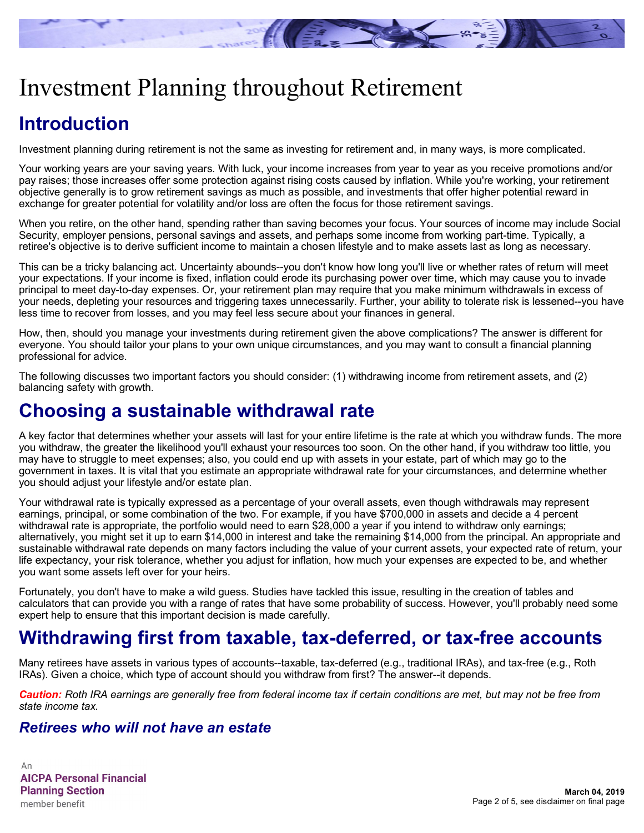

## Investment Planning throughout Retirement

## **Introduction**

Investment planning during retirement is not the same as investing for retirement and, in many ways, is more complicated.

Your working years are your saving years. With luck, your income increases from year to year as you receive promotions and/or pay raises; those increases offer some protection against rising costs caused by inflation. While you're working, your retirement objective generally is to grow retirement savings as much as possible, and investments that offer higher potential reward in exchange for greater potential for volatility and/or loss are often the focus for those retirement savings.

When you retire, on the other hand, spending rather than saving becomes your focus. Your sources of income may include Social Security, employer pensions, personal savings and assets, and perhaps some income from working part-time. Typically, a retiree's objective is to derive sufficient income to maintain a chosen lifestyle and to make assets last as long as necessary.

This can be a tricky balancing act. Uncertainty abounds--you don't know how long you'll live or whether rates of return will meet your expectations. If your income is fixed, inflation could erode its purchasing power over time, which may cause you to invade principal to meet day-to-day expenses. Or, your retirement plan may require that you make minimum withdrawals in excess of your needs, depleting your resources and triggering taxes unnecessarily. Further, your ability to tolerate risk is lessened--you have less time to recover from losses, and you may feel less secure about your finances in general.

How, then, should you manage your investments during retirement given the above complications? The answer is different for everyone. You should tailor your plans to your own unique circumstances, and you may want to consult a financial planning professional for advice.

The following discusses two important factors you should consider: (1) withdrawing income from retirement assets, and (2) balancing safety with growth.

#### **Choosing a sustainable withdrawal rate**

A key factor that determines whether your assets will last for your entire lifetime is the rate at which you withdraw funds. The more you withdraw, the greater the likelihood you'll exhaust your resources too soon. On the other hand, if you withdraw too little, you may have to struggle to meet expenses; also, you could end up with assets in your estate, part of which may go to the government in taxes. It is vital that you estimate an appropriate withdrawal rate for your circumstances, and determine whether you should adjust your lifestyle and/or estate plan.

Your withdrawal rate is typically expressed as a percentage of your overall assets, even though withdrawals may represent earnings, principal, or some combination of the two. For example, if you have \$700,000 in assets and decide a 4 percent withdrawal rate is appropriate, the portfolio would need to earn \$28,000 a year if you intend to withdraw only earnings; alternatively, you might set it up to earn \$14,000 in interest and take the remaining \$14,000 from the principal. An appropriate and sustainable withdrawal rate depends on many factors including the value of your current assets, your expected rate of return, your life expectancy, your risk tolerance, whether you adjust for inflation, how much your expenses are expected to be, and whether you want some assets left over for your heirs.

Fortunately, you don't have to make a wild guess. Studies have tackled this issue, resulting in the creation of tables and calculators that can provide you with a range of rates that have some probability of success. However, you'll probably need some expert help to ensure that this important decision is made carefully.

## **Withdrawing first from taxable, tax-deferred, or tax-free accounts**

Many retirees have assets in various types of accounts--taxable, tax-deferred (e.g., traditional IRAs), and tax-free (e.g., Roth IRAs). Given a choice, which type of account should you withdraw from first? The answer--it depends.

*Caution: Roth IRA earnings are generally free from federal income tax if certain conditions are met, but may not be free from state income tax.*

#### *Retirees who will not have an estate*

An **AICPA Personal Financial Planning Section** member benefit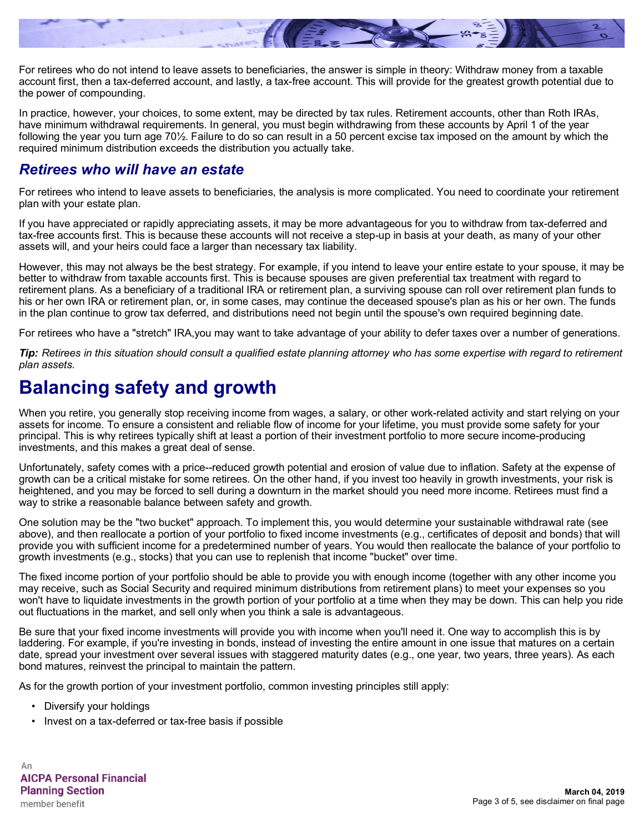

For retirees who do not intend to leave assets to beneficiaries, the answer is simple in theory: Withdraw money from a taxable account first, then a tax-deferred account, and lastly, a tax-free account. This will provide for the greatest growth potential due to the power of compounding.

In practice, however, your choices, to some extent, may be directed by tax rules. Retirement accounts, other than Roth IRAs, have minimum withdrawal requirements. In general, you must begin withdrawing from these accounts by April 1 of the year following the year you turn age 70½. Failure to do so can result in a 50 percent excise tax imposed on the amount by which the required minimum distribution exceeds the distribution you actually take.

#### *Retirees who will have an estate*

For retirees who intend to leave assets to beneficiaries, the analysis is more complicated. You need to coordinate your retirement plan with your estate plan.

If you have appreciated or rapidly appreciating assets, it may be more advantageous for you to withdraw from tax-deferred and tax-free accounts first. This is because these accounts will not receive a step-up in basis at your death, as many of your other assets will, and your heirs could face a larger than necessary tax liability.

However, this may not always be the best strategy. For example, if you intend to leave your entire estate to your spouse, it may be better to withdraw from taxable accounts first. This is because spouses are given preferential tax treatment with regard to retirement plans. As a beneficiary of a traditional IRA or retirement plan, a surviving spouse can roll over retirement plan funds to his or her own IRA or retirement plan, or, in some cases, may continue the deceased spouse's plan as his or her own. The funds in the plan continue to grow tax deferred, and distributions need not begin until the spouse's own required beginning date.

For retirees who have a "stretch" IRA,you may want to take advantage of your ability to defer taxes over a number of generations.

*Tip: Retirees in this situation should consult a qualified estate planning attorney who has some expertise with regard to retirement plan assets.*

### **Balancing safety and growth**

When you retire, you generally stop receiving income from wages, a salary, or other work-related activity and start relying on your assets for income. To ensure a consistent and reliable flow of income for your lifetime, you must provide some safety for your principal. This is why retirees typically shift at least a portion of their investment portfolio to more secure income-producing investments, and this makes a great deal of sense.

Unfortunately, safety comes with a price--reduced growth potential and erosion of value due to inflation. Safety at the expense of growth can be a critical mistake for some retirees. On the other hand, if you invest too heavily in growth investments, your risk is heightened, and you may be forced to sell during a downturn in the market should you need more income. Retirees must find a way to strike a reasonable balance between safety and growth.

One solution may be the "two bucket" approach. To implement this, you would determine your sustainable withdrawal rate (see above), and then reallocate a portion of your portfolio to fixed income investments (e.g., certificates of deposit and bonds) that will provide you with sufficient income for a predetermined number of years. You would then reallocate the balance of your portfolio to growth investments (e.g., stocks) that you can use to replenish that income "bucket" over time.

The fixed income portion of your portfolio should be able to provide you with enough income (together with any other income you may receive, such as Social Security and required minimum distributions from retirement plans) to meet your expenses so you won't have to liquidate investments in the growth portion of your portfolio at a time when they may be down. This can help you ride out fluctuations in the market, and sell only when you think a sale is advantageous.

Be sure that your fixed income investments will provide you with income when you'll need it. One way to accomplish this is by laddering. For example, if you're investing in bonds, instead of investing the entire amount in one issue that matures on a certain date, spread your investment over several issues with staggered maturity dates (e.g., one year, two years, three years). As each bond matures, reinvest the principal to maintain the pattern.

As for the growth portion of your investment portfolio, common investing principles still apply:

- Diversify your holdings
- Invest on a tax-deferred or tax-free basis if possible

An **AICPA Personal Financial Planning Section** member benefit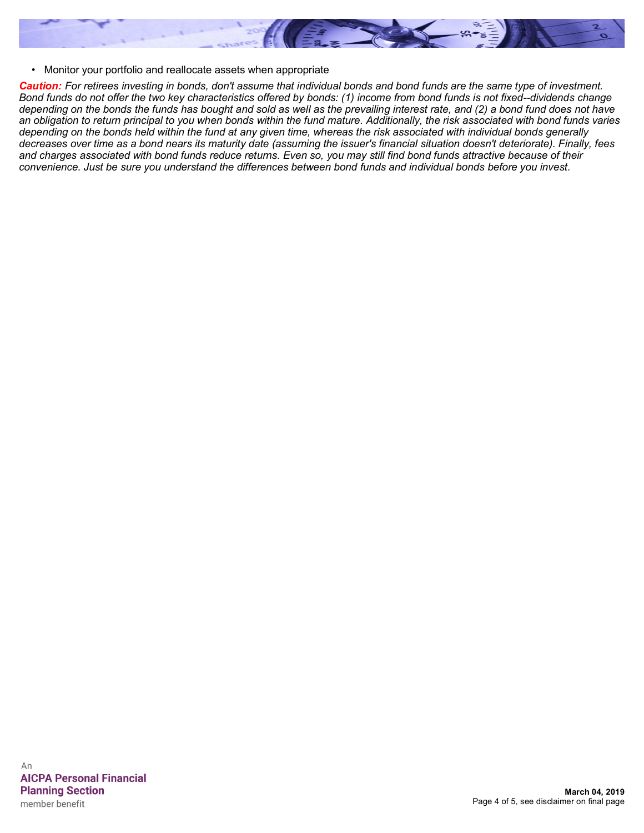

• Monitor your portfolio and reallocate assets when appropriate

*Caution: For retirees investing in bonds, don't assume that individual bonds and bond funds are the same type of investment. Bond funds do not offer the two key characteristics offered by bonds: (1) income from bond funds is not fixed--dividends change depending on the bonds the funds has bought and sold as well as the prevailing interest rate, and (2) a bond fund does not have an obligation to return principal to you when bonds within the fund mature. Additionally, the risk associated with bond funds varies depending on the bonds held within the fund at any given time, whereas the risk associated with individual bonds generally decreases over time as a bond nears its maturity date (assuming the issuer's financial situation doesn't deteriorate). Finally, fees and charges associated with bond funds reduce returns. Even so, you may still find bond funds attractive because of their convenience. Just be sure you understand the differences between bond funds and individual bonds before you invest.*